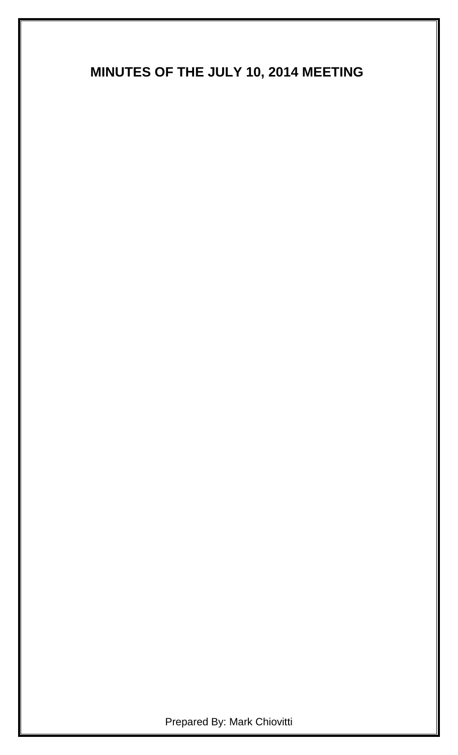# **MINUTES OF THE JULY 10, 2014 MEETING**

Prepared By: Mark Chiovitti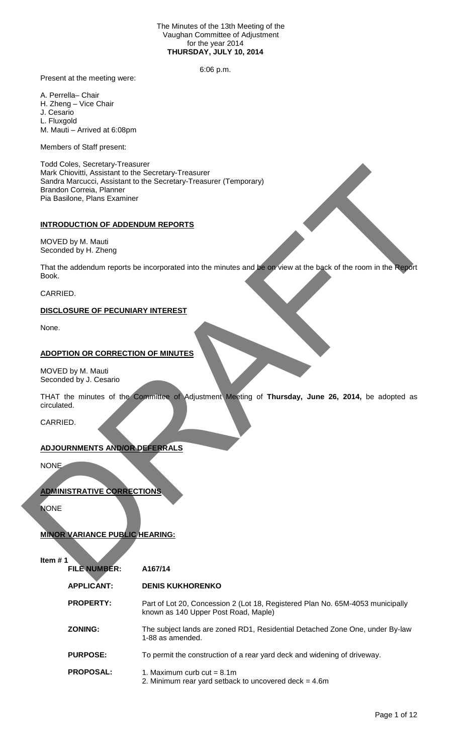#### The Minutes of the 13th Meeting of the Vaughan Committee of Adjustment for the year 2014 **THURSDAY, JULY 10, 2014**

6:06 p.m.

Present at the meeting were:

A. Perrella– Chair

H. Zheng – Vice Chair

J. Cesario

L. Fluxgold

M. Mauti – Arrived at 6:08pm

Members of Staff present:

Todd Coles, Secretary-Treasurer Mark Chiovitti, Assistant to the Secretary-Treasurer Sandra Marcucci, Assistant to the Secretary-Treasurer (Temporary) Brandon Correia, Planner Pia Basilone, Plans Examiner INDIVIDUAL AND CONFIDENTIAL CONFIDENTIALS<br>
Section Mercuric, Australia to the Secretary-Treasurer (Temporary)<br>
Bendix Corea, Planner<br>
Bendix Corea, Planner<br>
INTRODUCTION OF ADDENDUM REPORTS<br>
NOVED by M. Mayin<br>
The Bendix C

# **INTRODUCTION OF ADDENDUM REPORTS**

MOVED by M. Mauti Seconded by H. Zheng

That the addendum reports be incorporated into the minutes and be on view at the back of the room in the Report Book.

CARRIED.

# **DISCLOSURE OF PECUNIARY INTEREST**

None.

# **ADOPTION OR CORRECTION OF MINUTES**

MOVED by M. Mauti Seconded by J. Cesario

THAT the minutes of the Committee of Adjustment Meeting of **Thursday, June 26, 2014,** be adopted as circulated.

CARRIED.

# **ADJOURNMENTS AND/OR DEFERRALS**

NONE

# **ADMINISTRATIVE CORRECTIONS**

**NONE** 

# **MINOR VARIANCE PUBLIC HEARING:**

| <b>FILE NUMBER:</b> | A167/14                                                                                                                |
|---------------------|------------------------------------------------------------------------------------------------------------------------|
| <b>APPLICANT:</b>   | <b>DENIS KUKHORENKO</b>                                                                                                |
| <b>PROPERTY:</b>    | Part of Lot 20, Concession 2 (Lot 18, Registered Plan No. 65M-4053 municipally<br>known as 140 Upper Post Road, Maple) |
| <b>ZONING:</b>      | The subject lands are zoned RD1, Residential Detached Zone One, under By-law<br>1-88 as amended.                       |
| <b>PURPOSE:</b>     | To permit the construction of a rear yard deck and widening of driveway.                                               |
| <b>PROPOSAL:</b>    | 1. Maximum curb cut $= 8.1$ m                                                                                          |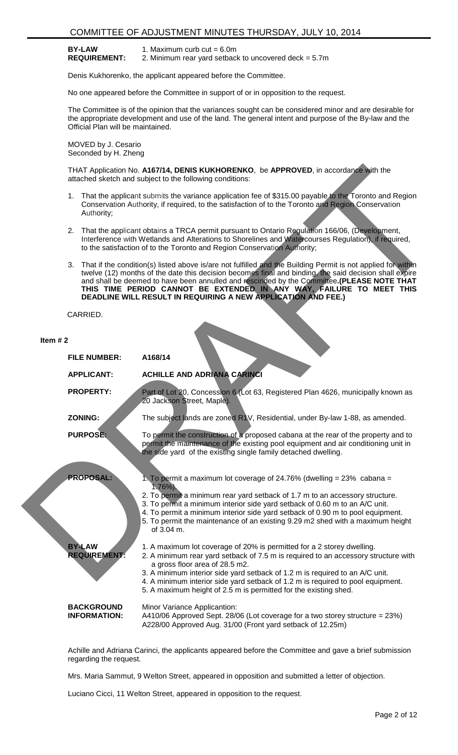#### **BY-LAW REQUIREMENT:**

1. Maximum curb  $cut = 6.0m$ 

2. Minimum rear yard setback to uncovered deck = 5.7m

Denis Kukhorenko, the applicant appeared before the Committee.

No one appeared before the Committee in support of or in opposition to the request.

The Committee is of the opinion that the variances sought can be considered minor and are desirable for the appropriate development and use of the land. The general intent and purpose of the By-law and the Official Plan will be maintained.

MOVED by J. Cesario Seconded by H. Zheng

- 1. That the applicant submits the variance application fee of \$315.00 payable to the Toronto and Region Conservation Authority, if required, to the satisfaction of to the Toronto and Region Conservation Authority;
- 2. That the applicant obtains a TRCA permit pursuant to Ontario Regulation 166/06, (Development, Interference with Wetlands and Alterations to Shorelines and Watercourses Regulation), if required, to the satisfaction of to the Toronto and Region Conservation Authority;
- 3. That if the condition(s) listed above is/are not fulfilled and the Building Permit is not applied for within twelve (12) months of the date this decision becomes final and binding, the said decision shall expire and shall be deemed to have been annulled and rescinded by the Committee**.(PLEASE NOTE THAT THIS TIME PERIOD CANNOT BE EXTENDED IN ANY WAY, FAILURE TO MEET THIS DEADLINE WILL RESULT IN REQUIRING A NEW APPLICATION AND FEE.)**

### **Item # 2**

|            | THAT Application No. A167/14, DENIS KUKHORENKO, be APPROVED, in accordance with the<br>attached sketch and subject to the following conditions:                                                                                                                                                                                                                                                                                                                     |                                                                                                                                                                                                                                                                                                                                                                                                                                           |  |  |  |  |  |
|------------|---------------------------------------------------------------------------------------------------------------------------------------------------------------------------------------------------------------------------------------------------------------------------------------------------------------------------------------------------------------------------------------------------------------------------------------------------------------------|-------------------------------------------------------------------------------------------------------------------------------------------------------------------------------------------------------------------------------------------------------------------------------------------------------------------------------------------------------------------------------------------------------------------------------------------|--|--|--|--|--|
|            | Authority;                                                                                                                                                                                                                                                                                                                                                                                                                                                          | 1. That the applicant submits the variance application fee of \$315.00 payable to the Toronto and Region<br>Conservation Authority, if required, to the satisfaction of to the Toronto and Region Conservation                                                                                                                                                                                                                            |  |  |  |  |  |
|            |                                                                                                                                                                                                                                                                                                                                                                                                                                                                     | 2. That the applicant obtains a TRCA permit pursuant to Ontario Regulation 166/06, (Development,<br>Interference with Wetlands and Alterations to Shorelines and Watercourses Regulation), if required,<br>to the satisfaction of to the Toronto and Region Conservation Authority;                                                                                                                                                       |  |  |  |  |  |
|            | That if the condition(s) listed above is/are not fulfilled and the Building Permit is not applied for within<br>3.<br>twelve (12) months of the date this decision becomes final and binding, the said decision shall expire<br>and shall be deemed to have been annulled and rescinded by the Committee.(PLEASE NOTE THAT<br>THIS TIME PERIOD CANNOT BE EXTENDED IN ANY WAY, FAILURE TO MEET THIS<br>DEADLINE WILL RESULT IN REQUIRING A NEW APPLICATION AND FEE.) |                                                                                                                                                                                                                                                                                                                                                                                                                                           |  |  |  |  |  |
|            | CARRIED.                                                                                                                                                                                                                                                                                                                                                                                                                                                            |                                                                                                                                                                                                                                                                                                                                                                                                                                           |  |  |  |  |  |
| Item $# 2$ | <b>FILE NUMBER:</b>                                                                                                                                                                                                                                                                                                                                                                                                                                                 | A168/14                                                                                                                                                                                                                                                                                                                                                                                                                                   |  |  |  |  |  |
|            | <b>APPLICANT:</b>                                                                                                                                                                                                                                                                                                                                                                                                                                                   | <b>ACHILLE AND ADRIANA CARINCI</b>                                                                                                                                                                                                                                                                                                                                                                                                        |  |  |  |  |  |
|            | <b>PROPERTY:</b>                                                                                                                                                                                                                                                                                                                                                                                                                                                    | Part of Lot 20, Concession 6 (Lot 63, Registered Plan 4626, municipally known as<br>20 Jackson Street, Maple).                                                                                                                                                                                                                                                                                                                            |  |  |  |  |  |
|            | <b>ZONING:</b>                                                                                                                                                                                                                                                                                                                                                                                                                                                      | The subject lands are zoned R1V, Residential, under By-law 1-88, as amended.                                                                                                                                                                                                                                                                                                                                                              |  |  |  |  |  |
|            | <b>PURPOSE:</b>                                                                                                                                                                                                                                                                                                                                                                                                                                                     | To permit the construction of a proposed cabana at the rear of the property and to<br>permit the maintenance of the existing pool equipment and air conditioning unit in<br>the side yard of the existing single family detached dwelling.                                                                                                                                                                                                |  |  |  |  |  |
|            | <b>PROPOSAL:</b>                                                                                                                                                                                                                                                                                                                                                                                                                                                    | 1. To permit a maximum lot coverage of 24.76% (dwelling = $23\%$ cabana =<br>$1.76\%$ ).<br>2. To permit a minimum rear yard setback of 1.7 m to an accessory structure.<br>3. To permit a minimum interior side yard setback of 0.60 m to an A/C unit.<br>4. To permit a minimum interior side yard setback of 0.90 m to pool equipment.<br>5. To permit the maintenance of an existing 9.29 m2 shed with a maximum height<br>of 3.04 m. |  |  |  |  |  |
|            | <b>BY-LAW</b><br><b>REQUIREMENT:</b>                                                                                                                                                                                                                                                                                                                                                                                                                                | 1. A maximum lot coverage of 20% is permitted for a 2 storey dwelling.<br>2. A minimum rear yard setback of 7.5 m is required to an accessory structure with<br>a gross floor area of 28.5 m2.<br>3. A minimum interior side yard setback of 1.2 m is required to an A/C unit.<br>4. A minimum interior side yard setback of 1.2 m is required to pool equipment.<br>5. A maximum height of 2.5 m is permitted for the existing shed.     |  |  |  |  |  |
|            | <b>BACKGROUND</b><br><b>INFORMATION:</b>                                                                                                                                                                                                                                                                                                                                                                                                                            | Minor Variance Applicantion:<br>A410/06 Approved Sept. 28/06 (Lot coverage for a two storey structure = 23%)<br>A228/00 Approved Aug. 31/00 (Front yard setback of 12.25m)                                                                                                                                                                                                                                                                |  |  |  |  |  |

Achille and Adriana Carinci, the applicants appeared before the Committee and gave a brief submission regarding the request.

Mrs. Maria Sammut, 9 Welton Street, appeared in opposition and submitted a letter of objection.

Luciano Cicci, 11 Welton Street, appeared in opposition to the request.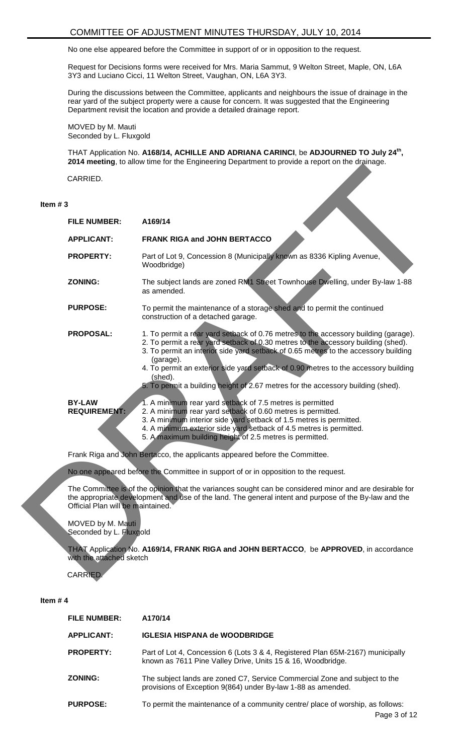No one else appeared before the Committee in support of or in opposition to the request.

Request for Decisions forms were received for Mrs. Maria Sammut, 9 Welton Street, Maple, ON, L6A 3Y3 and Luciano Cicci, 11 Welton Street, Vaughan, ON, L6A 3Y3.

During the discussions between the Committee, applicants and neighbours the issue of drainage in the rear yard of the subject property were a cause for concern. It was suggested that the Engineering Department revisit the location and provide a detailed drainage report.

MOVED by M. Mauti Seconded by L. Fluxgold

THAT Application No. **A168/14, ACHILLE AND ADRIANA CARINCI**, be **ADJOURNED TO July 24th, 2014 meeting**, to allow time for the Engineering Department to provide a report on the drainage.

#### **Item # 3**

|           | CARRIED.                                     |                                                                                                                                                                                                                                                                                                                                                                                                                                                                    |  |  |  |
|-----------|----------------------------------------------|--------------------------------------------------------------------------------------------------------------------------------------------------------------------------------------------------------------------------------------------------------------------------------------------------------------------------------------------------------------------------------------------------------------------------------------------------------------------|--|--|--|
| Item $#3$ |                                              |                                                                                                                                                                                                                                                                                                                                                                                                                                                                    |  |  |  |
|           | <b>FILE NUMBER:</b>                          | A169/14                                                                                                                                                                                                                                                                                                                                                                                                                                                            |  |  |  |
|           | <b>APPLICANT:</b>                            | FRANK RIGA and JOHN BERTACCO                                                                                                                                                                                                                                                                                                                                                                                                                                       |  |  |  |
|           | <b>PROPERTY:</b>                             | Part of Lot 9, Concession 8 (Municipally known as 8336 Kipling Avenue,<br>Woodbridge)                                                                                                                                                                                                                                                                                                                                                                              |  |  |  |
|           | <b>ZONING:</b>                               | The subject lands are zoned RM1 Street Townhouse Dwelling, under By-law 1-88<br>as amended.                                                                                                                                                                                                                                                                                                                                                                        |  |  |  |
|           | <b>PURPOSE:</b>                              | To permit the maintenance of a storage shed and to permit the continued<br>construction of a detached garage.                                                                                                                                                                                                                                                                                                                                                      |  |  |  |
|           | <b>PROPOSAL:</b>                             | 1. To permit a rear yard setback of 0.76 metres to the accessory building (garage).<br>2. To permit a rear yard setback of 0.30 metres to the accessory building (shed).<br>3. To permit an interior side yard setback of 0.65 metres to the accessory building<br>(garage).<br>4. To permit an exterior side yard setback of 0.90 metres to the accessory building<br>(shed).<br>5. To permit a building height of 2.67 metres for the accessory building (shed). |  |  |  |
|           | <b>BY-LAW</b><br><b>REQUIREMENT:</b>         | 1. A minimum rear yard setback of 7.5 metres is permitted<br>2. A minimum rear yard setback of 0.60 metres is permitted.<br>3. A minimum interior side yard setback of 1.5 metres is permitted.<br>4. A minimum exterior side yard setback of 4.5 metres is permitted.<br>5. A maximum building height of 2.5 metres is permitted.                                                                                                                                 |  |  |  |
|           |                                              | Frank Riga and John Bertacco, the applicants appeared before the Committee.                                                                                                                                                                                                                                                                                                                                                                                        |  |  |  |
|           |                                              | No one appeared before the Committee in support of or in opposition to the request.                                                                                                                                                                                                                                                                                                                                                                                |  |  |  |
|           | Official Plan will be maintained.            | The Committee is of the opinion that the variances sought can be considered minor and are desirable for<br>the appropriate development and use of the land. The general intent and purpose of the By-law and the                                                                                                                                                                                                                                                   |  |  |  |
|           | MOVED by M. Mauti<br>Seconded by L. Fluxgold |                                                                                                                                                                                                                                                                                                                                                                                                                                                                    |  |  |  |
|           | with the attached sketch                     | THAT Application No. A169/14, FRANK RIGA and JOHN BERTACCO, be APPROVED, in accordance                                                                                                                                                                                                                                                                                                                                                                             |  |  |  |
|           | CARRIED.                                     |                                                                                                                                                                                                                                                                                                                                                                                                                                                                    |  |  |  |

- 3. A minimum interior side yard setback of 1.5 metres is permitted.
- 4. A minimum exterior side yard setback of 4.5 metres is permitted.

| <b>FILE NUMBER:</b> | A170/14                                                                                                                                       |
|---------------------|-----------------------------------------------------------------------------------------------------------------------------------------------|
| <b>APPLICANT:</b>   | <b>IGLESIA HISPANA de WOODBRIDGE</b>                                                                                                          |
| <b>PROPERTY:</b>    | Part of Lot 4, Concession 6 (Lots 3 & 4, Registered Plan 65M-2167) municipally<br>known as 7611 Pine Valley Drive, Units 15 & 16, Woodbridge. |
| <b>ZONING:</b>      | The subject lands are zoned C7, Service Commercial Zone and subject to the<br>provisions of Exception 9(864) under By-law 1-88 as amended.    |
| <b>PURPOSE:</b>     | To permit the maintenance of a community centre/ place of worship, as follows:                                                                |
|                     | Dao 3 of 3                                                                                                                                    |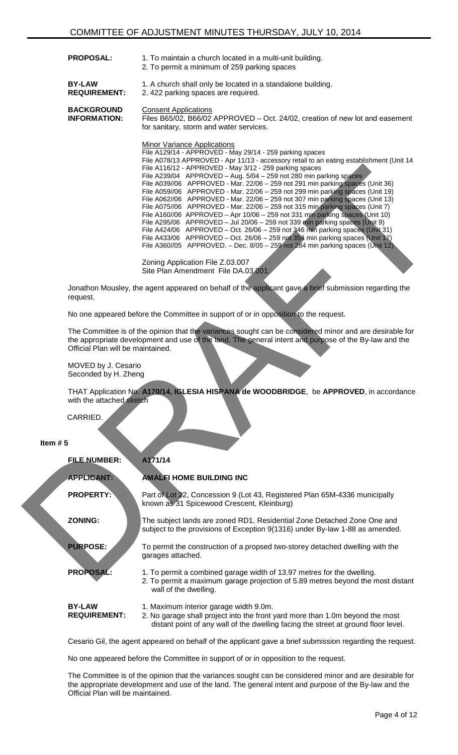| <b>PROPOSAL:</b>                         | 1. To maintain a church located in a multi-unit building.<br>2. To permit a minimum of 259 parking spaces                                                                                                                                                                                                                                                                                                                                                                                                                                                                                                                                                                                                                                        |  |  |  |  |  |
|------------------------------------------|--------------------------------------------------------------------------------------------------------------------------------------------------------------------------------------------------------------------------------------------------------------------------------------------------------------------------------------------------------------------------------------------------------------------------------------------------------------------------------------------------------------------------------------------------------------------------------------------------------------------------------------------------------------------------------------------------------------------------------------------------|--|--|--|--|--|
| <b>BY-LAW</b><br><b>REQUIREMENT:</b>     | 1. A church shall only be located in a standalone building.<br>2.422 parking spaces are required.                                                                                                                                                                                                                                                                                                                                                                                                                                                                                                                                                                                                                                                |  |  |  |  |  |
| <b>BACKGROUND</b><br><b>INFORMATION:</b> | <b>Consent Applications</b><br>Files B65/02, B66/02 APPROVED - Oct. 24/02, creation of new lot and easement<br>for sanitary, storm and water services.                                                                                                                                                                                                                                                                                                                                                                                                                                                                                                                                                                                           |  |  |  |  |  |
|                                          | Minor Variance Applications<br>File A129/14 - APPROVED - May 29/14 - 259 parking spaces<br>File A078/13 APPROVED - Apr 11/13 - accessory retail to an eating establishment (Unit 14<br>File A116/12 - APPROVED - May 3/12 - 259 parking spaces<br>File $A239/04$ APPROVED – Aug. $5/04 - 259$ not 280 min parking spaces<br>File A039/06 APPROVED - Mar. 22/06 - 259 not 291 min parking spaces (Unit 36)<br>File A059/06 APPROVED - Mar. 22/06 - 259 not 299 min parking spaces (Unit 19)<br>File $A062/06$ APPROVED - Mar. 22/06 – 259 not 307 min parking spaces (Unit 13)<br>File $A075/06$ APPROVED - Mar. 22/06 - 259 not 315 min parking spaces (Unit 7)<br>File A160//06 APPROVED - Apr 10/06 - 259 not 331 min parking spaces (Unit 10) |  |  |  |  |  |

|            |                                                                                                                     | File A116/12 - APPROVED - May 3/12 - 259 parking spaces<br>File A239/04 APPROVED - Aug. 5/04 - 259 not 280 min parking spaces<br>File A039//06 APPROVED - Mar. 22/06 - 259 not 291 min parking spaces (Unit 36)<br>File A059//06 APPROVED - Mar. 22/06 - 259 not 299 min parking spaces (Unit 19)<br>File A062//06 APPROVED - Mar. 22/06 - 259 not 307 min parking spaces (Unit 13)<br>File A075//06 APPROVED - Mar. 22/06 - 259 not 315 min parking spaces (Unit 7)<br>File A160//06 APPROVED - Apr 10/06 - 259 not 331 min parking spaces (Unit 10)<br>File A295/06 APPROVED - Jul 20/06 - 259 not 339 min parking spaces (Unit 9)<br>File A424/06 APPROVED - Oct. 26/06 - 259 not 346 min parking spaces (Unit 31)<br>File A433/06 APPROVED - Oct. 26/06 - 259 not 354 min parking spaces (Unit 17)<br>File A360//05 APPROVED. - Dec. $8/05 - 259$ not 284 min parking spaces (Unit 12) |  |  |  |  |  |  |
|------------|---------------------------------------------------------------------------------------------------------------------|--------------------------------------------------------------------------------------------------------------------------------------------------------------------------------------------------------------------------------------------------------------------------------------------------------------------------------------------------------------------------------------------------------------------------------------------------------------------------------------------------------------------------------------------------------------------------------------------------------------------------------------------------------------------------------------------------------------------------------------------------------------------------------------------------------------------------------------------------------------------------------------------|--|--|--|--|--|--|
|            |                                                                                                                     | Zoning Application File Z.03.007<br>Site Plan Amendment File DA.03.001                                                                                                                                                                                                                                                                                                                                                                                                                                                                                                                                                                                                                                                                                                                                                                                                                     |  |  |  |  |  |  |
|            | Jonathon Mousley, the agent appeared on behalf of the applicant gave a brief submission regarding the<br>request.   |                                                                                                                                                                                                                                                                                                                                                                                                                                                                                                                                                                                                                                                                                                                                                                                                                                                                                            |  |  |  |  |  |  |
|            |                                                                                                                     | No one appeared before the Committee in support of or in opposition to the request.                                                                                                                                                                                                                                                                                                                                                                                                                                                                                                                                                                                                                                                                                                                                                                                                        |  |  |  |  |  |  |
|            | Official Plan will be maintained.                                                                                   | The Committee is of the opinion that the variances sought can be considered minor and are desirable for<br>the appropriate development and use of the land. The general intent and purpose of the By-law and the                                                                                                                                                                                                                                                                                                                                                                                                                                                                                                                                                                                                                                                                           |  |  |  |  |  |  |
|            | MOVED by J. Cesario<br>Seconded by H. Zheng                                                                         |                                                                                                                                                                                                                                                                                                                                                                                                                                                                                                                                                                                                                                                                                                                                                                                                                                                                                            |  |  |  |  |  |  |
|            | THAT Application No. A170/14, IGLESIA HISPANA de WOODBRIDGE, be APPROVED, in accordance<br>with the attached sketch |                                                                                                                                                                                                                                                                                                                                                                                                                                                                                                                                                                                                                                                                                                                                                                                                                                                                                            |  |  |  |  |  |  |
|            | CARRIED.                                                                                                            |                                                                                                                                                                                                                                                                                                                                                                                                                                                                                                                                                                                                                                                                                                                                                                                                                                                                                            |  |  |  |  |  |  |
| Item $# 5$ |                                                                                                                     |                                                                                                                                                                                                                                                                                                                                                                                                                                                                                                                                                                                                                                                                                                                                                                                                                                                                                            |  |  |  |  |  |  |
|            | <b>FILE NUMBER:</b>                                                                                                 | A171/14                                                                                                                                                                                                                                                                                                                                                                                                                                                                                                                                                                                                                                                                                                                                                                                                                                                                                    |  |  |  |  |  |  |
|            | <b>APPLICANT:</b>                                                                                                   | <b>AMALFI HOME BUILDING INC</b>                                                                                                                                                                                                                                                                                                                                                                                                                                                                                                                                                                                                                                                                                                                                                                                                                                                            |  |  |  |  |  |  |
|            | <b>PROPERTY:</b>                                                                                                    | Part of Lot 22, Concession 9 (Lot 43, Registered Plan 65M-4336 municipally<br>known as 31 Spicewood Crescent, Kleinburg)                                                                                                                                                                                                                                                                                                                                                                                                                                                                                                                                                                                                                                                                                                                                                                   |  |  |  |  |  |  |
|            | <b>ZONING:</b>                                                                                                      | The subject lands are zoned RD1, Residential Zone Detached Zone One and<br>subject to the provisions of Exception 9(1316) under By-law 1-88 as amended.                                                                                                                                                                                                                                                                                                                                                                                                                                                                                                                                                                                                                                                                                                                                    |  |  |  |  |  |  |
|            | <b>PURPOSE:</b>                                                                                                     | To permit the construction of a propsed two-storey detached dwelling with the<br>garages attached.                                                                                                                                                                                                                                                                                                                                                                                                                                                                                                                                                                                                                                                                                                                                                                                         |  |  |  |  |  |  |
|            | <b>PROPOSAL:</b>                                                                                                    | 1. To permit a combined garage width of 13.97 metres for the dwelling.<br>2. To permit a maximum garage projection of 5.89 metres beyond the most distant<br>wall of the dwelling.                                                                                                                                                                                                                                                                                                                                                                                                                                                                                                                                                                                                                                                                                                         |  |  |  |  |  |  |
|            | <b>BY-LAW</b><br><b>REQUIREMENT:</b>                                                                                | 1. Maximum interior garage width 9.0m.<br>2. No garage shall project into the front yard more than 1.0m beyond the most<br>distant point of any wall of the dwelling facing the street at ground floor level.                                                                                                                                                                                                                                                                                                                                                                                                                                                                                                                                                                                                                                                                              |  |  |  |  |  |  |

Cesario Gil, the agent appeared on behalf of the applicant gave a brief submission regarding the request.

No one appeared before the Committee in support of or in opposition to the request.

The Committee is of the opinion that the variances sought can be considered minor and are desirable for the appropriate development and use of the land. The general intent and purpose of the By-law and the Official Plan will be maintained.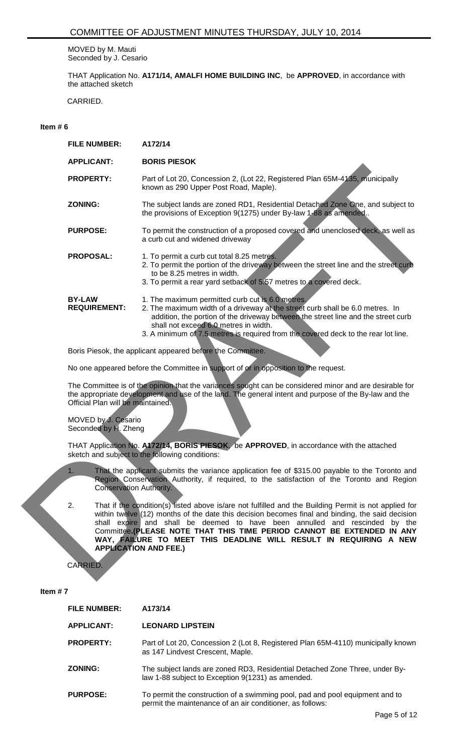MOVED by M. Mauti Seconded by J. Cesario

THAT Application No. **A171/14, AMALFI HOME BUILDING INC**, be **APPROVED**, in accordance with the attached sketch

CARRIED.

#### **Item # 6**

| <b>FILE NUMBER:</b>                                                                                                                                                                                                                                   | A172/14                                                                                                                                                                                                                                                                                                                                                                                                                                                                  |  |  |  |  |
|-------------------------------------------------------------------------------------------------------------------------------------------------------------------------------------------------------------------------------------------------------|--------------------------------------------------------------------------------------------------------------------------------------------------------------------------------------------------------------------------------------------------------------------------------------------------------------------------------------------------------------------------------------------------------------------------------------------------------------------------|--|--|--|--|
| <b>APPLICANT:</b>                                                                                                                                                                                                                                     | <b>BORIS PIESOK</b>                                                                                                                                                                                                                                                                                                                                                                                                                                                      |  |  |  |  |
| <b>PROPERTY:</b>                                                                                                                                                                                                                                      | Part of Lot 20, Concession 2, (Lot 22, Registered Plan 65M-4135, municipally<br>known as 290 Upper Post Road, Maple).                                                                                                                                                                                                                                                                                                                                                    |  |  |  |  |
| <b>ZONING:</b>                                                                                                                                                                                                                                        | The subject lands are zoned RD1, Residential Detached Zone One, and subject to<br>the provisions of Exception 9(1275) under By-law 1-88 as amended                                                                                                                                                                                                                                                                                                                       |  |  |  |  |
| <b>PURPOSE:</b>                                                                                                                                                                                                                                       | To permit the construction of a proposed covered and unenclosed deck, as well as<br>a curb cut and widened driveway                                                                                                                                                                                                                                                                                                                                                      |  |  |  |  |
| <b>PROPOSAL:</b>                                                                                                                                                                                                                                      | 1. To permit a curb cut total 8.25 metres.<br>2. To permit the portion of the driveway between the street line and the street curb<br>to be 8.25 metres in width.<br>3. To permit a rear yard setback of 5.57 metres to a covered deck.                                                                                                                                                                                                                                  |  |  |  |  |
| <b>BY-LAW</b><br><b>REQUIREMENT:</b>                                                                                                                                                                                                                  | 1. The maximum permitted curb cut is 6.0 metres.<br>2. The maximum width of a driveway at the street curb shall be 6.0 metres. In<br>addition, the portion of the driveway between the street line and the street curb<br>shall not exceed 6.0 metres in width.<br>3. A minimum of 7.5 metres is required from the covered deck to the rear lot line.                                                                                                                    |  |  |  |  |
|                                                                                                                                                                                                                                                       | Boris Piesok, the applicant appeared before the Committee.                                                                                                                                                                                                                                                                                                                                                                                                               |  |  |  |  |
| No one appeared before the Committee in support of or in opposition to the request.                                                                                                                                                                   |                                                                                                                                                                                                                                                                                                                                                                                                                                                                          |  |  |  |  |
| The Committee is of the opinion that the variances sought can be considered minor and are desirable for<br>the appropriate development and use of the land. The general intent and purpose of the By-law and the<br>Official Plan will be maintained. |                                                                                                                                                                                                                                                                                                                                                                                                                                                                          |  |  |  |  |
| MOVED by J. Cesario<br>Seconded by H. Zheng                                                                                                                                                                                                           |                                                                                                                                                                                                                                                                                                                                                                                                                                                                          |  |  |  |  |
| THAT Application No. A172/14, BORIS PIESOK, be APPROVED, in accordance with the attached<br>sketch and subject to the following conditions:                                                                                                           |                                                                                                                                                                                                                                                                                                                                                                                                                                                                          |  |  |  |  |
| 1.<br><b>Conservation Authority.</b>                                                                                                                                                                                                                  | That the applicant submits the variance application fee of \$315.00 payable to the Toronto and<br>Region Conservation Authority, if required, to the satisfaction of the Toronto and Region                                                                                                                                                                                                                                                                              |  |  |  |  |
| 2.                                                                                                                                                                                                                                                    | That if the condition(s) listed above is/are not fulfilled and the Building Permit is not applied for<br>within twelve (12) months of the date this decision becomes final and binding, the said decision<br>shall expire and shall be deemed to have been annulled and rescinded by the<br>Committee. (PLEASE NOTE THAT THIS TIME PERIOD CANNOT BE EXTENDED IN ANY<br>WAY, FAILURE TO MEET THIS DEADLINE WILL RESULT IN REQUIRING A NEW<br><b>APPLICATION AND FEE.)</b> |  |  |  |  |
| CARRIED.                                                                                                                                                                                                                                              |                                                                                                                                                                                                                                                                                                                                                                                                                                                                          |  |  |  |  |

#### MOVED by J. Cesario Seconded by H. Zheng

- 1. That the applicant submits the variance application fee of \$315.00 payable to the Toronto and Region Conservation Authority, if required, to the satisfaction of the Toronto and Region Conservation Authority.
- 2. That if the condition(s) listed above is/are not fulfilled and the Building Permit is not applied for within twelve (12) months of the date this decision becomes final and binding, the said decision shall expire and shall be deemed to have been annulled and rescinded by the Committee**.(PLEASE NOTE THAT THIS TIME PERIOD CANNOT BE EXTENDED IN ANY WAY, FAILURE TO MEET THIS DEADLINE WILL RESULT IN REQUIRING A NEW APPLICATION AND FEE.)**

| <b>FILE NUMBER:</b> | A173/14                                                                                                                                   |
|---------------------|-------------------------------------------------------------------------------------------------------------------------------------------|
| <b>APPLICANT:</b>   | <b>LEONARD LIPSTEIN</b>                                                                                                                   |
| <b>PROPERTY:</b>    | Part of Lot 20, Concession 2 (Lot 8, Registered Plan 65M-4110) municipally known<br>as 147 Lindvest Crescent, Maple.                      |
| <b>ZONING:</b>      | The subject lands are zoned RD3, Residential Detached Zone Three, under By-<br>law 1-88 subject to Exception 9(1231) as amended.          |
| <b>PURPOSE:</b>     | To permit the construction of a swimming pool, pad and pool equipment and to<br>permit the maintenance of an air conditioner, as follows: |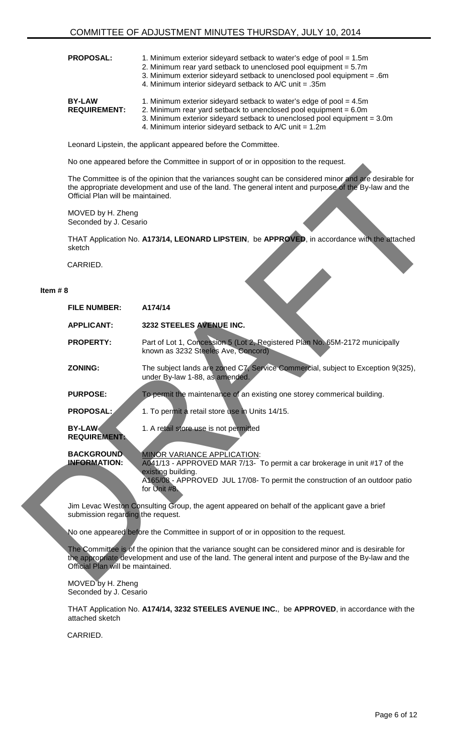- **PROPOSAL:** 1. Minimum exterior sidevard setback to water's edge of pool = 1.5m
	- 2. Minimum rear yard setback to unenclosed pool equipment = 5.7m
	- 3. Minimum exterior sideyard setback to unenclosed pool equipment = .6m
		- 4. Minimum interior sideyard setback to A/C unit = .35m

| <b>BY-LAW</b>       | 1. Minimum exterior sideyard setback to water's edge of pool $=$ 4.5m      |
|---------------------|----------------------------------------------------------------------------|
| <b>REQUIREMENT:</b> | 2. Minimum rear yard setback to unenclosed pool equipment = $6.0m$         |
|                     | 3. Minimum exterior sideyard setback to unenclosed pool equipment $=$ 3.0m |
|                     | 4. Minimum interior sidevard setback to $A/C$ unit = 1.2m                  |

Leonard Lipstein, the applicant appeared before the Committee.

No one appeared before the Committee in support of or in opposition to the request.

#### **Item # 8**

|            | area before the commuted in cappoit or or in opposition to the r |                                                                                                                                                                                                                  |  |  |  |
|------------|------------------------------------------------------------------|------------------------------------------------------------------------------------------------------------------------------------------------------------------------------------------------------------------|--|--|--|
|            | Official Plan will be maintained.                                | The Committee is of the opinion that the variances sought can be considered minor and are desirable for<br>the appropriate development and use of the land. The general intent and purpose of the By-law and the |  |  |  |
|            | MOVED by H. Zheng<br>Seconded by J. Cesario                      |                                                                                                                                                                                                                  |  |  |  |
|            | sketch                                                           | THAT Application No. A173/14, LEONARD LIPSTEIN, be APPROVED, in accordance with the attached                                                                                                                     |  |  |  |
|            | CARRIED.                                                         |                                                                                                                                                                                                                  |  |  |  |
| Item $# 8$ |                                                                  |                                                                                                                                                                                                                  |  |  |  |
|            | <b>FILE NUMBER:</b>                                              | A174/14                                                                                                                                                                                                          |  |  |  |
|            | <b>APPLICANT:</b>                                                | 3232 STEELES AVENUE INC.                                                                                                                                                                                         |  |  |  |
|            | <b>PROPERTY:</b>                                                 | Part of Lot 1, Concession 5 (Lot 2, Registered Plan No. 65M-2172 municipally<br>known as 3232 Steeles Ave, Concord)                                                                                              |  |  |  |
|            | <b>ZONING:</b>                                                   | The subject lands are zoned C7, Service Commercial, subject to Exception 9(325),<br>under By-law 1-88, as amended.                                                                                               |  |  |  |
|            | <b>PURPOSE:</b>                                                  | To permit the maintenance of an existing one storey commerical building.                                                                                                                                         |  |  |  |
|            | PROPOSAL:                                                        | 1. To permit a retail store use in Units 14/15.                                                                                                                                                                  |  |  |  |
|            | <b>BY-LAW</b><br><b>REQUIREMENT:</b>                             | 1. A retail store use is not permitted                                                                                                                                                                           |  |  |  |
|            | <b>BACKGROUND</b><br><b>INFORMATION:</b>                         | <b>MINOR VARIANCE APPLICATION:</b><br>A041/13 - APPROVED MAR 7/13- To permit a car brokerage in unit #17 of the<br>existing building.                                                                            |  |  |  |
|            |                                                                  | A165/08 - APPROVED JUL 17/08- To permit the construction of an outdoor patio<br>for Unit #8.                                                                                                                     |  |  |  |
|            | submission regarding the request.                                | Jim Levac Weston Consulting Group, the agent appeared on behalf of the applicant gave a brief                                                                                                                    |  |  |  |
|            |                                                                  | No one appeared before the Committee in support of or in opposition to the request.                                                                                                                              |  |  |  |
|            | Official Plan will be maintained.                                | The Committee is of the opinion that the variance sought can be considered minor and is desirable for<br>the appropriate development and use of the land. The general intent and purpose of the By-law and the   |  |  |  |
|            |                                                                  |                                                                                                                                                                                                                  |  |  |  |

MOVED by H. Zheng Seconded by J. Cesario

THAT Application No. **A174/14, 3232 STEELES AVENUE INC.**, be **APPROVED**, in accordance with the attached sketch

CARRIED.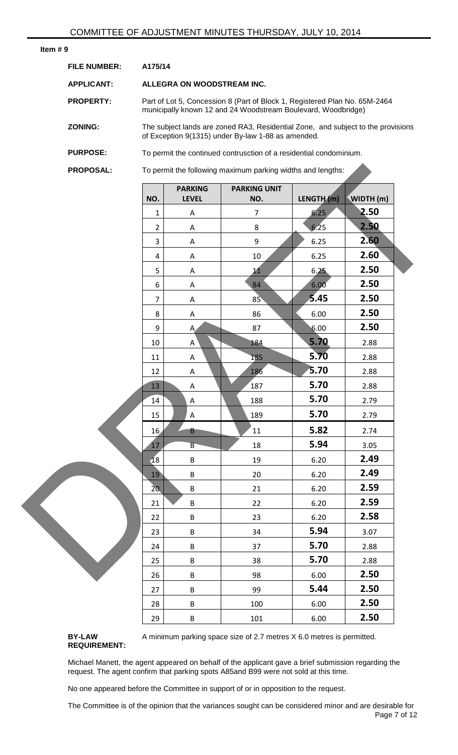#### **Item # 9**

| <b>FILE NUMBER:</b> | A175/14                                                                                                                                     |
|---------------------|---------------------------------------------------------------------------------------------------------------------------------------------|
| <b>APPLICANT:</b>   | ALLEGRA ON WOODSTREAM INC.                                                                                                                  |
| <b>PROPERTY:</b>    | Part of Lot 5, Concession 8 (Part of Block 1, Registered Plan No. 65M-2464<br>municipally known 12 and 24 Woodstream Boulevard, Woodbridge) |
| <b>ZONING:</b>      | The subject lands are zoned RA3, Residential Zone, and subject to the provisions<br>of Exception 9(1315) under By-law 1-88 as amended.      |
| <b>PURPOSE:</b>     | To permit the continued contrusction of a residential condominium.                                                                          |
| <b>PROPOSAL:</b>    | To permit the following maximum parking widths and lengths:                                                                                 |

| <b>PROPOSAL:</b> |                  |                                | To permit the following maximum parking widths and lengths: |            |           |  |
|------------------|------------------|--------------------------------|-------------------------------------------------------------|------------|-----------|--|
|                  | NO.              | <b>PARKING</b><br><b>LEVEL</b> | <b>PARKING UNIT</b><br>NO.                                  | LENGTH (m) | WIDTH (m) |  |
|                  | $\mathbf{1}$     | $\boldsymbol{\mathsf{A}}$      | $\overline{7}$                                              | 6.25       | 2.50      |  |
|                  | $\overline{2}$   | A                              | $\,8\,$                                                     | 6.25       | 2.50      |  |
|                  | $\overline{3}$   | Α                              | $9\,$                                                       | 6.25       | 2.60      |  |
|                  | 4                | Α                              | $10\,$                                                      | 6.25       | 2.60      |  |
|                  | 5                | A                              | 11                                                          | 6.25       | 2.50      |  |
|                  | $\boldsymbol{6}$ | A                              | 84                                                          | 6.00       | 2.50      |  |
|                  | $\overline{7}$   | $\mathsf A$                    | 85                                                          | 5.45       | 2.50      |  |
|                  | 8                | A                              | 86                                                          | 6.00       | 2.50      |  |
|                  | 9                | A                              | 87                                                          | 6.00       | 2.50      |  |
|                  | $10\,$           | A                              | 184                                                         | 5.70       | 2.88      |  |
|                  | 11               | A                              | 185                                                         | 5.70       | 2.88      |  |
|                  | 12               | A                              | 186                                                         | 5.70       | 2.88      |  |
|                  | $13\,$           | A                              | 187                                                         | 5.70       | 2.88      |  |
|                  | 14               | $\boldsymbol{\mathsf{A}}$      | 188                                                         | 5.70       | 2.79      |  |
|                  | 15               | A                              | 189                                                         | 5.70       | 2.79      |  |
|                  | 16               | B                              | 11                                                          | 5.82       | 2.74      |  |
|                  | 17               | B                              | 18                                                          | 5.94       | 3.05      |  |
|                  | $\overline{18}$  | $\sf B$                        | 19                                                          | 6.20       | 2.49      |  |
|                  | 19               | B                              | 20                                                          | 6.20       | 2.49      |  |
|                  | 20 <sub>1</sub>  | $\sf B$                        | 21                                                          | 6.20       | 2.59      |  |
|                  | 21               | B                              | 22                                                          | 6.20       | 2.59      |  |
|                  | 22               | B                              | 23                                                          | 6.20       | 2.58      |  |
|                  | 23               | $\sf B$                        | 34                                                          | 5.94       | 3.07      |  |
|                  | 24               | $\sf B$                        | 37                                                          | 5.70       | 2.88      |  |
|                  | 25               | B                              | 38                                                          | 5.70       | 2.88      |  |
|                  | 26               | B                              | 98                                                          | 6.00       | 2.50      |  |
|                  | 27               | B                              | 99                                                          | 5.44       | 2.50      |  |
|                  | 28               | B                              | 100                                                         | 6.00       | 2.50      |  |
|                  | 29               | $\sf B$                        | 101                                                         | 6.00       | 2.50      |  |

**BY-LAW REQUIREMENT:** A minimum parking space size of 2.7 metres X 6.0 metres is permitted.

Michael Manett, the agent appeared on behalf of the applicant gave a brief submission regarding the request. The agent confirm that parking spots A85and B99 were not sold at this time.

No one appeared before the Committee in support of or in opposition to the request.

Page 7 of 12 The Committee is of the opinion that the variances sought can be considered minor and are desirable for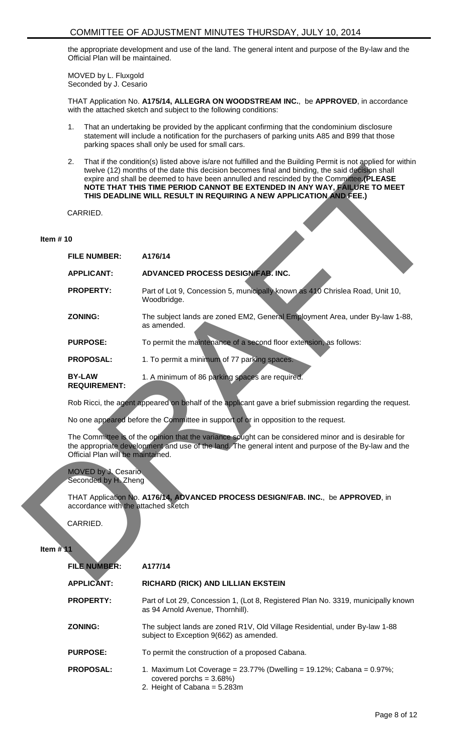the appropriate development and use of the land. The general intent and purpose of the By-law and the Official Plan will be maintained.

MOVED by L. Fluxgold Seconded by J. Cesario

THAT Application No. **A175/14, ALLEGRA ON WOODSTREAM INC.**, be **APPROVED**, in accordance with the attached sketch and subject to the following conditions:

- 1. That an undertaking be provided by the applicant confirming that the condominium disclosure statement will include a notification for the purchasers of parking units A85 and B99 that those parking spaces shall only be used for small cars.
- 2. That if the condition(s) listed above is/are not fulfilled and the Building Permit is not applied for within twelve (12) months of the date this decision becomes final and binding, the said decision shall expire and shall be deemed to have been annulled and rescinded by the Committee**.(PLEASE NOTE THAT THIS TIME PERIOD CANNOT BE EXTENDED IN ANY WAY, FAILURE TO MEET THIS DEADLINE WILL RESULT IN REQUIRING A NEW APPLICATION AND FEE.)**

#### **Item # 10**

|             |                                             | at it the condition of notice above load bilot railined and the Ballang is christies not applied for<br>twelve (12) months of the date this decision becomes final and binding, the said decision shall<br>expire and shall be deemed to have been annulled and rescinded by the Committee. (PLEASE<br>NOTE THAT THIS TIME PERIOD CANNOT BE EXTENDED IN ANY WAY, FAILURE TO MEET<br>THIS DEADLINE WILL RESULT IN REQUIRING A NEW APPLICATION AND FEE.) |
|-------------|---------------------------------------------|--------------------------------------------------------------------------------------------------------------------------------------------------------------------------------------------------------------------------------------------------------------------------------------------------------------------------------------------------------------------------------------------------------------------------------------------------------|
|             | CARRIED.                                    |                                                                                                                                                                                                                                                                                                                                                                                                                                                        |
| Item $# 10$ |                                             |                                                                                                                                                                                                                                                                                                                                                                                                                                                        |
|             | <b>FILE NUMBER:</b>                         | A176/14                                                                                                                                                                                                                                                                                                                                                                                                                                                |
|             | <b>APPLICANT:</b>                           | ADVANCED PROCESS DESIGN/FAB. INC.                                                                                                                                                                                                                                                                                                                                                                                                                      |
|             | <b>PROPERTY:</b>                            | Part of Lot 9, Concession 5, municipally known as 410 Chrislea Road, Unit 10,<br>Woodbridge.                                                                                                                                                                                                                                                                                                                                                           |
|             | <b>ZONING:</b>                              | The subject lands are zoned EM2, General Employment Area, under By-law 1-88,<br>as amended.                                                                                                                                                                                                                                                                                                                                                            |
|             | <b>PURPOSE:</b>                             | To permit the maintenance of a second floor extension, as follows:                                                                                                                                                                                                                                                                                                                                                                                     |
|             | <b>PROPOSAL:</b>                            | 1. To permit a minimum of 77 parking spaces.                                                                                                                                                                                                                                                                                                                                                                                                           |
|             | <b>BY-LAW</b><br><b>REQUIREMENT:</b>        | 1. A minimum of 86 parking spaces are required.                                                                                                                                                                                                                                                                                                                                                                                                        |
|             |                                             | Rob Ricci, the agent appeared on behalf of the applicant gave a brief submission regarding the request.<br>No one appeared before the Committee in support of or in opposition to the request.                                                                                                                                                                                                                                                         |
|             | Official Plan will be maintained.           | The Committee is of the opinion that the variance sought can be considered minor and is desirable for<br>the appropriate development and use of the land. The general intent and purpose of the By-law and the                                                                                                                                                                                                                                         |
|             | MOVED by J. Cesario<br>Seconded by H. Zheng |                                                                                                                                                                                                                                                                                                                                                                                                                                                        |
|             | accordance with the attached sketch         | THAT Application No. A176/14, ADVANCED PROCESS DESIGN/FAB. INC., be APPROVED, in                                                                                                                                                                                                                                                                                                                                                                       |
| Item $# 11$ | CARRIED.                                    |                                                                                                                                                                                                                                                                                                                                                                                                                                                        |
|             | <b>FILE NUMBER:</b>                         | A177/14                                                                                                                                                                                                                                                                                                                                                                                                                                                |
|             |                                             |                                                                                                                                                                                                                                                                                                                                                                                                                                                        |

| <b>FILE NUMBER:</b> | A177/14                                                                                                                                          |
|---------------------|--------------------------------------------------------------------------------------------------------------------------------------------------|
| <b>APPLICANT:</b>   | RICHARD (RICK) AND LILLIAN EKSTEIN                                                                                                               |
| <b>PROPERTY:</b>    | Part of Lot 29, Concession 1, (Lot 8, Registered Plan No. 3319, municipally known<br>as 94 Arnold Avenue, Thornhill).                            |
| <b>ZONING:</b>      | The subject lands are zoned R1V, Old Village Residential, under By-law 1-88<br>subject to Exception 9(662) as amended.                           |
| <b>PURPOSE:</b>     | To permit the construction of a proposed Cabana.                                                                                                 |
| <b>PROPOSAL:</b>    | 1. Maximum Lot Coverage = $23.77\%$ (Dwelling = $19.12\%$ ; Cabana = $0.97\%$ ;<br>covered porchs = $3.68\%$ )<br>2. Height of Cabana = $5.283m$ |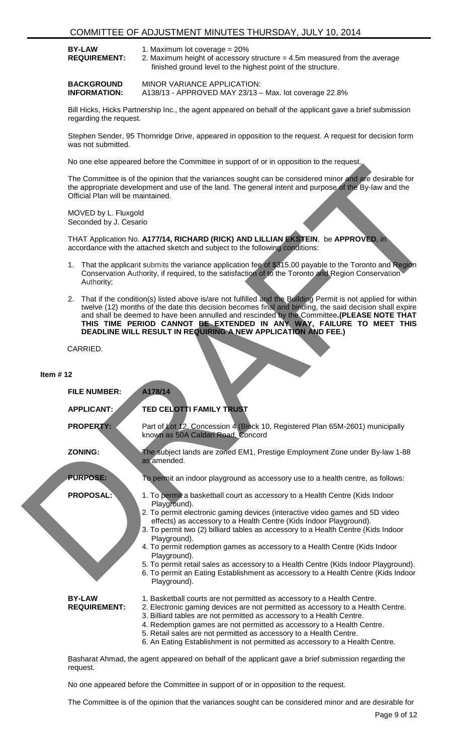| <b>BY-LAW</b>       | 1. Maximum lot coverage $= 20\%$                                            |
|---------------------|-----------------------------------------------------------------------------|
| <b>REQUIREMENT:</b> | 2. Maximum height of accessory structure $=$ 4.5m measured from the average |
|                     | finished ground level to the highest point of the structure.                |

**BACKGROUND INFORMATION:** MINOR VARIANCE APPLICATION: A138/13 - APPROVED MAY 23/13 – Max. lot coverage 22.8%

Bill Hicks, Hicks Partnership Inc., the agent appeared on behalf of the applicant gave a brief submission regarding the request.

Stephen Sender, 95 Thornridge Drive, appeared in opposition to the request. A request for decision form was not submitted.

No one else appeared before the Committee in support of or in opposition to the request.

- 1. That the applicant submits the variance application fee of \$315.00 payable to the Toronto and Region Conservation Authority, if required, to the satisfaction of to the Toronto and Region Conservation Authority;
- 2. That if the condition(s) listed above is/are not fulfilled and the Building Permit is not applied for within twelve (12) months of the date this decision becomes final and binding, the said decision shall expire and shall be deemed to have been annulled and rescinded by the Committee**.(PLEASE NOTE THAT THIS TIME PERIOD CANNOT BE EXTENDED IN ANY WAY, FAILURE TO MEET THIS DEADLINE WILL RESULT IN REQUIRING A NEW APPLICATION AND FEE.)**

|             |                                                | aroa bororo ano oomminaoo in oapport or or in oppoeaen to ano                                                                                                                                                                                                                                                                                                                                                                                                       |
|-------------|------------------------------------------------|---------------------------------------------------------------------------------------------------------------------------------------------------------------------------------------------------------------------------------------------------------------------------------------------------------------------------------------------------------------------------------------------------------------------------------------------------------------------|
|             | Official Plan will be maintained.              | The Committee is of the opinion that the variances sought can be considered minor and are desirable for<br>the appropriate development and use of the land. The general intent and purpose of the By-law and the                                                                                                                                                                                                                                                    |
|             | MOVED by L. Fluxgold<br>Seconded by J. Cesario |                                                                                                                                                                                                                                                                                                                                                                                                                                                                     |
|             |                                                | THAT Application No. A177/14, RICHARD (RICK) AND LILLIAN EKSTEIN, be APPROVED, in<br>accordance with the attached sketch and subject to the following conditions:                                                                                                                                                                                                                                                                                                   |
|             | Authority;                                     | 1. That the applicant submits the variance application fee of \$315.00 payable to the Toronto and Region<br>Conservation Authority, if required, to the satisfaction of to the Toronto and Region Conservation                                                                                                                                                                                                                                                      |
|             |                                                | 2. That if the condition(s) listed above is/are not fulfilled and the Building Permit is not applied for within<br>twelve (12) months of the date this decision becomes final and binding, the said decision shall expire<br>and shall be deemed to have been annulled and rescinded by the Committee. (PLEASE NOTE THAT<br>THIS TIME PERIOD CANNOT BE EXTENDED IN ANY WAY, FAILURE TO MEET THIS<br>DEADLINE WILL RESULT IN REQUIRING A NEW APPLICATION AND FEE.)   |
|             | CARRIED.                                       |                                                                                                                                                                                                                                                                                                                                                                                                                                                                     |
| Item $# 12$ |                                                |                                                                                                                                                                                                                                                                                                                                                                                                                                                                     |
|             | <b>FILE NUMBER:</b>                            | A178/14                                                                                                                                                                                                                                                                                                                                                                                                                                                             |
|             | APPLICANT:                                     | TED CELOTTI FAMILY TRUST                                                                                                                                                                                                                                                                                                                                                                                                                                            |
|             | <b>PROPERTY:</b>                               | Part of Lot 12, Concession 4 (Block 10, Registered Plan 65M-2601) municipally<br>known as 50A Caldari Road, Concord                                                                                                                                                                                                                                                                                                                                                 |
|             | <b>ZONING:</b>                                 | The subject lands are zoned EM1, Prestige Employment Zone under By-law 1-88<br>as amended.                                                                                                                                                                                                                                                                                                                                                                          |
|             | <b>PURPOSE:</b>                                | To permit an indoor playground as accessory use to a health centre, as follows:                                                                                                                                                                                                                                                                                                                                                                                     |
|             | <b>PROPOSAL:</b>                               | 1. To permit a basketball court as accessory to a Health Centre (Kids Indoor<br>Playground).<br>2. To permit electronic gaming devices (interactive video games and 5D video<br>effects) as accessory to a Health Centre (Kids Indoor Playground).<br>3. To permit two (2) billiard tables as accessory to a Health Centre (Kids Indoor<br>Playground).                                                                                                             |
|             |                                                | 4. To permit redemption games as accessory to a Health Centre (Kids Indoor<br>Playground).<br>5. To permit retail sales as accessory to a Health Centre (Kids Indoor Playground).<br>6. To permit an Eating Establishment as accessory to a Health Centre (Kids Indoor<br>Playground).                                                                                                                                                                              |
|             | <b>BY-LAW</b><br><b>REQUIREMENT:</b>           | 1. Basketball courts are not permitted as accessory to a Health Centre.<br>2. Electronic gaming devices are not permitted as accessory to a Health Centre.<br>3. Billiard tables are not permitted as accessory to a Health Centre.<br>4. Redemption games are not permitted as accessory to a Health Centre.<br>5. Retail sales are not permitted as accessory to a Health Centre.<br>6. An Eating Establishment is not permitted as accessory to a Health Centre. |

Basharat Ahmad, the agent appeared on behalf of the applicant gave a brief submission regarding the request.

No one appeared before the Committee in support of or in opposition to the request.

The Committee is of the opinion that the variances sought can be considered minor and are desirable for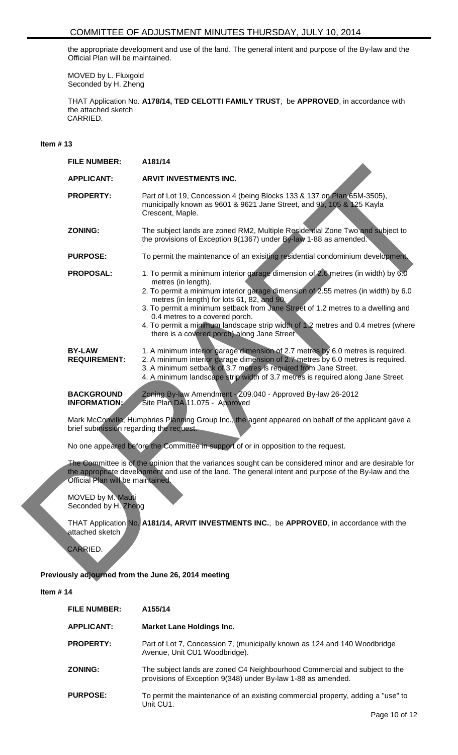the appropriate development and use of the land. The general intent and purpose of the By-law and the Official Plan will be maintained.

MOVED by L. Fluxgold Seconded by H. Zheng

THAT Application No. **A178/14, TED CELOTTI FAMILY TRUST**, be **APPROVED**, in accordance with the attached sketch CARRIED.

# **Item # 13**

| <b>FILE NUMBER:</b>                       | A181/14                                                                                                                                                                                                                                                                                                                                                                                                                                                                                             |
|-------------------------------------------|-----------------------------------------------------------------------------------------------------------------------------------------------------------------------------------------------------------------------------------------------------------------------------------------------------------------------------------------------------------------------------------------------------------------------------------------------------------------------------------------------------|
| <b>APPLICANT:</b>                         | <b>ARVIT INVESTMENTS INC.</b>                                                                                                                                                                                                                                                                                                                                                                                                                                                                       |
| <b>PROPERTY:</b>                          | Part of Lot 19, Concession 4 (being Blocks 133 & 137 on Plan 65M-3505),<br>municipally known as 9601 & 9621 Jane Street, and 95, 105 & 125 Kayla<br>Crescent, Maple.                                                                                                                                                                                                                                                                                                                                |
| <b>ZONING:</b>                            | The subject lands are zoned RM2, Multiple Residential Zone Two and subject to<br>the provisions of Exception 9(1367) under By-law 1-88 as amended.                                                                                                                                                                                                                                                                                                                                                  |
| <b>PURPOSE:</b>                           | To permit the maintenance of an exisiting residential condominium development.                                                                                                                                                                                                                                                                                                                                                                                                                      |
| <b>PROPOSAL:</b>                          | 1. To permit a minimum interior garage dimension of 2.6 metres (in width) by 6.0<br>metres (in length).<br>2. To permit a minimum interior garage dimension of 2.55 metres (in width) by 6.0<br>metres (in length) for lots 61, 82, and 90.<br>3. To permit a minimum setback from Jane Street of 1.2 metres to a dwelling and<br>0.4 metres to a covered porch.<br>4. To permit a minimum landscape strip width of 1.2 metres and 0.4 metres (where<br>there is a covered porch) along Jane Street |
| <b>BY-LAW</b><br><b>REQUIREMENT:</b>      | 1. A minimum interior garage dimension of 2.7 metres by 6.0 metres is required.<br>2. A minimum interior garage dimension of 2.7 metres by 6.0 metres is required.<br>3. A minimum setback of 3.7 metres is required from Jane Street.<br>4. A minimum landscape strip width of 3.7 metres is required along Jane Street.                                                                                                                                                                           |
| <b>BACKGROUND</b><br><b>INFORMATION:</b>  | Zoning By-law Amendment - Z09.040 - Approved By-law 26-2012<br>Site Plan DA.11.075 - Approved                                                                                                                                                                                                                                                                                                                                                                                                       |
| brief submission regarding the request.   | Mark McConville, Humphries Planning Group Inc., the agent appeared on behalf of the applicant gave a                                                                                                                                                                                                                                                                                                                                                                                                |
|                                           | No one appeared before the Committee in support of or in opposition to the request.                                                                                                                                                                                                                                                                                                                                                                                                                 |
| Official Plan will be maintained.         | The Committee is of the opinion that the variances sought can be considered minor and are desirable for<br>the appropriate development and use of the land. The general intent and purpose of the By-law and the                                                                                                                                                                                                                                                                                    |
| MOVED by M. Mauti<br>Seconded by H. Zheng |                                                                                                                                                                                                                                                                                                                                                                                                                                                                                                     |
| attached sketch<br>CARRIED.               | THAT Application No. A181/14, ARVIT INVESTMENTS INC., be APPROVED, in accordance with the                                                                                                                                                                                                                                                                                                                                                                                                           |
|                                           | Previously adjourned from the June 26, 2014 meeting                                                                                                                                                                                                                                                                                                                                                                                                                                                 |

# **Previously adjourned from the June 26, 2014 meeting**

| <b>FILE NUMBER:</b> | A155/14                                                                                                                                    |
|---------------------|--------------------------------------------------------------------------------------------------------------------------------------------|
| <b>APPLICANT:</b>   | <b>Market Lane Holdings Inc.</b>                                                                                                           |
| <b>PROPERTY:</b>    | Part of Lot 7, Concession 7, (municipally known as 124 and 140 Woodbridge<br>Avenue, Unit CU1 Woodbridge).                                 |
| <b>ZONING:</b>      | The subject lands are zoned C4 Neighbourhood Commercial and subject to the<br>provisions of Exception 9(348) under By-law 1-88 as amended. |
| <b>PURPOSE:</b>     | To permit the maintenance of an existing commercial property, adding a "use" to<br>Unit CU1.                                               |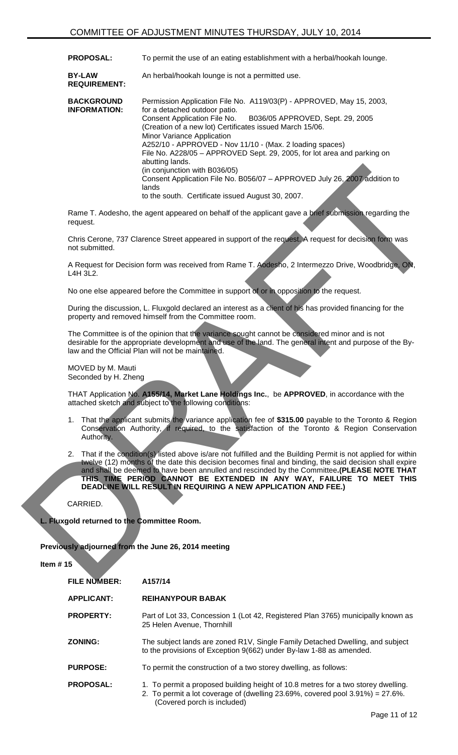| <b>PROPOSAL:</b> | To permit the use of an eating establishment with a herbal/hookah lounge. |
|------------------|---------------------------------------------------------------------------|
|                  |                                                                           |

**BY-LAW REQUIREMENT:** An herbal/hookah lounge is not a permitted use.

| <b>BACKGROUND</b><br><b>INFORMATION:</b> | Permission Application File No. A119/03(P) - APPROVED, May 15, 2003,<br>for a detached outdoor patio.                               |
|------------------------------------------|-------------------------------------------------------------------------------------------------------------------------------------|
|                                          | B036/05 APPROVED, Sept. 29, 2005<br><b>Consent Application File No.</b><br>(Creation of a new lot) Certificates issued March 15/06. |
|                                          | Minor Variance Application                                                                                                          |
|                                          | A252/10 - APPROVED - Nov 11/10 - (Max. 2 loading spaces)                                                                            |
|                                          | File No. A228/05 - APPROVED Sept. 29, 2005, for lot area and parking on<br>abutting lands.                                          |
|                                          | (in conjunction with B036/05)                                                                                                       |
|                                          | Consent Application File No. B056/07 - APPROVED July 26, 2007 addition to<br>lands                                                  |
|                                          | to the south. Certificate issued August 30, 2007.                                                                                   |
|                                          |                                                                                                                                     |

Rame T. Aodesho, the agent appeared on behalf of the applicant gave a brief submission regarding the request.

Chris Cerone, 737 Clarence Street appeared in support of the request. A request for decision form was not submitted.

A Request for Decision form was received from Rame T. Aodesho, 2 Intermezzo Drive, Woodbridge, ON, L4H 3L2.

No one else appeared before the Committee in support of or in opposition to the request.

During the discussion, L. Fluxgold declared an interest as a client of his has provided financing for the property and removed himself from the Committee room.

The Committee is of the opinion that the variance sought cannot be considered minor and is not desirable for the appropriate development and use of the land. The general intent and purpose of the Bylaw and the Official Plan will not be maintained.

MOVED by M. Mauti Seconded by H. Zheng

THAT Application No. **A155/14, Market Lane Holdings Inc.**, be **APPROVED**, in accordance with the attached sketch and subject to the following conditions:

- 1. That the applicant submits the variance application fee of **\$315.00** payable to the Toronto & Region Conservation Authority, if required, to the satisfaction of the Toronto & Region Conservation Authority.
- 2. That if the condition(s) listed above is/are not fulfilled and the Building Permit is not applied for within twelve (12) months of the date this decision becomes final and binding, the said decision shall expire and shall be deemed to have been annulled and rescinded by the Committee**.(PLEASE NOTE THAT THIS TIME PERIOD CANNOT BE EXTENDED IN ANY WAY, FAILURE TO MEET THIS DEADLINE WILL RESULT IN REQUIRING A NEW APPLICATION AND FEE.)** The contract of the definition of the Contract of the Contract of the Contract of the Contract of the Contract of the Contract of the Contract of the Contract of the Contract of the Contract of the Contract of the Contract

CARRIED.

**L. Fluxgold returned to the Committee Room.**

**Previously adjourned from the June 26, 2014 meeting**

| <b>FILE NUMBER:</b> | A157/14                                                                                                                                                                                               |
|---------------------|-------------------------------------------------------------------------------------------------------------------------------------------------------------------------------------------------------|
| <b>APPLICANT:</b>   | <b>REIHANYPOUR BABAK</b>                                                                                                                                                                              |
| <b>PROPERTY:</b>    | Part of Lot 33, Concession 1 (Lot 42, Registered Plan 3765) municipally known as<br>25 Helen Avenue, Thornhill                                                                                        |
| <b>ZONING:</b>      | The subject lands are zoned R1V, Single Family Detached Dwelling, and subject<br>to the provisions of Exception 9(662) under By-law 1-88 as amended.                                                  |
| <b>PURPOSE:</b>     | To permit the construction of a two storey dwelling, as follows:                                                                                                                                      |
| <b>PROPOSAL:</b>    | 1. To permit a proposed building height of 10.8 metres for a two storey dwelling.<br>2. To permit a lot coverage of (dwelling 23.69%, covered pool $3.91\%$ ) = 27.6%.<br>(Covered porch is included) |